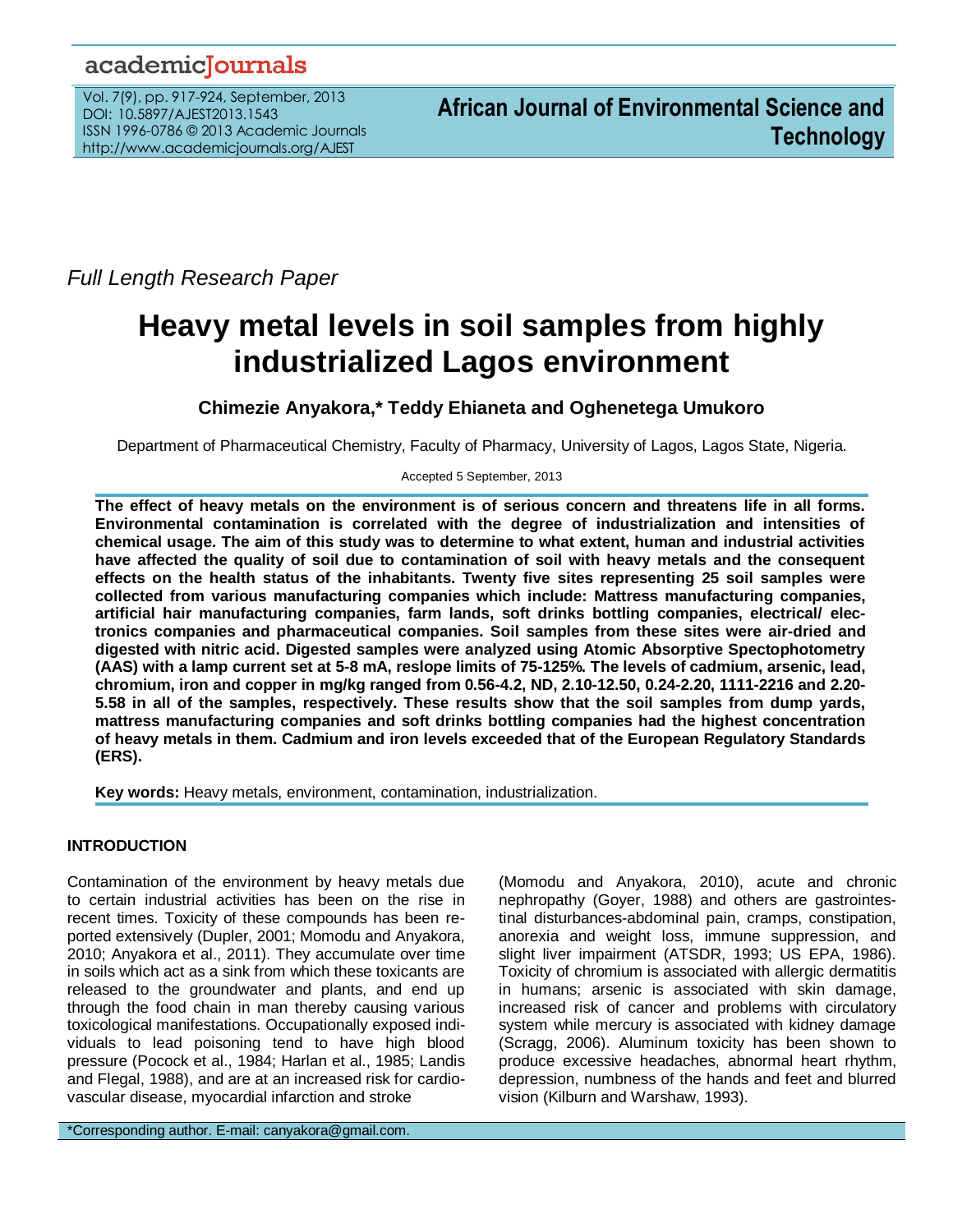# academicJournals

Vol. 7(9), pp. 917-924, September, 2013 DOI: 10.5897/AJEST2013.1543 ISSN 1996-0786 © 2013 Academic Journals http://www.academicjournals.org/AJEST

*Full Length Research Paper*

# **Heavy metal levels in soil samples from highly industrialized Lagos environment**

**Chimezie Anyakora,\* Teddy Ehianeta and Oghenetega Umukoro**

Department of Pharmaceutical Chemistry, Faculty of Pharmacy, University of Lagos, Lagos State, Nigeria.

Accepted 5 September, 2013

**The effect of heavy metals on the environment is of serious concern and threatens life in all forms. Environmental contamination is correlated with the degree of industrialization and intensities of chemical usage. The aim of this study was to determine to what extent, human and industrial activities have affected the quality of soil due to contamination of soil with heavy metals and the consequent effects on the health status of the inhabitants. Twenty five sites representing 25 soil samples were collected from various manufacturing companies which include: Mattress manufacturing companies, artificial hair manufacturing companies, farm lands, soft drinks bottling companies, electrical/ electronics companies and pharmaceutical companies. Soil samples from these sites were air-dried and digested with nitric acid. Digested samples were analyzed using Atomic Absorptive Spectophotometry (AAS) with a lamp current set at 5-8 mA, reslope limits of 75-125%. The levels of cadmium, arsenic, lead, chromium, iron and copper in mg/kg ranged from 0.56-4.2, ND, 2.10-12.50, 0.24-2.20, 1111-2216 and 2.20- 5.58 in all of the samples, respectively. These results show that the soil samples from dump yards, mattress manufacturing companies and soft drinks bottling companies had the highest concentration of heavy metals in them. Cadmium and iron levels exceeded that of the European Regulatory Standards (ERS).** 

**Key words:** Heavy metals, environment, contamination, industrialization.

# **INTRODUCTION**

Contamination of the environment by heavy metals due to certain industrial activities has been on the rise in recent times. Toxicity of these compounds has been reported extensively (Dupler, 2001; Momodu and Anyakora, 2010; Anyakora et al., 2011). They accumulate over time in soils which act as a sink from which these toxicants are released to the groundwater and plants, and end up through the food chain in man thereby causing various toxicological manifestations. Occupationally exposed individuals to lead poisoning tend to have high blood pressure (Pocock et al., 1984; Harlan et al., 1985; Landis and Flegal, 1988), and are at an increased risk for cardiovascular disease, myocardial infarction and stroke

\*Corresponding author. E-mail: canyakora@gmail.com.

(Momodu and Anyakora, 2010), acute and chronic nephropathy (Goyer, 1988) and others are gastrointestinal disturbances-abdominal pain, cramps, constipation, anorexia and weight loss, immune suppression, and slight liver impairment (ATSDR, 1993; US EPA, 1986). Toxicity of chromium is associated with allergic dermatitis in humans; arsenic is associated with skin damage, increased risk of cancer and problems with circulatory system while mercury is associated with kidney damage (Scragg, 2006). Aluminum toxicity has been shown to produce excessive headaches, abnormal heart rhythm, depression, numbness of the hands and feet and blurred vision (Kilburn and Warshaw, 1993).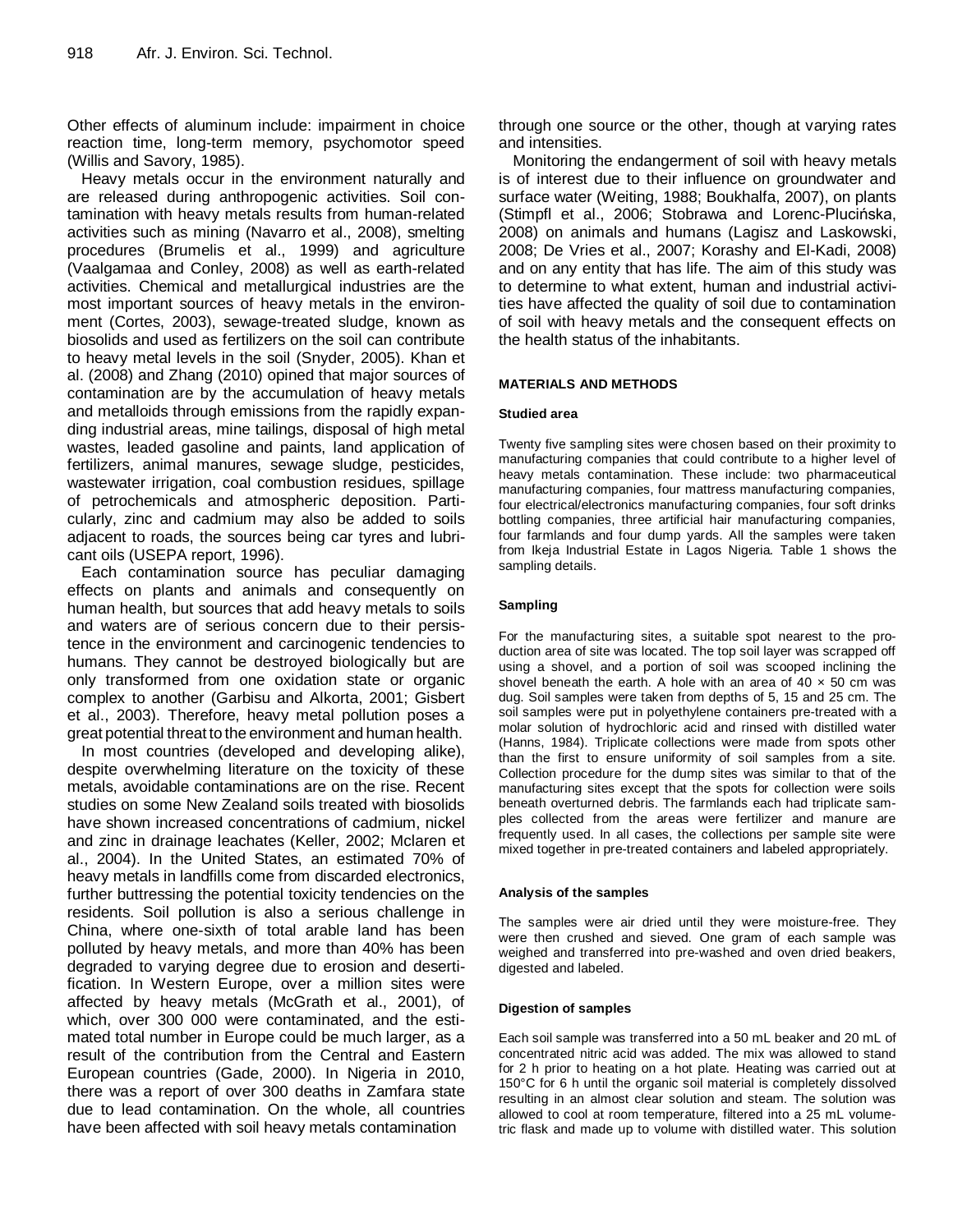Other effects of aluminum include: impairment in choice reaction time, long-term memory, psychomotor speed (Willis and Savory, 1985).

Heavy metals occur in the environment naturally and are released during anthropogenic activities. Soil contamination with heavy metals results from human-related activities such as mining (Navarro et al., 2008), smelting procedures (Brumelis et al., 1999) and agriculture (Vaalgamaa and Conley, 2008) as well as earth-related activities. Chemical and metallurgical industries are the most important sources of heavy metals in the environment (Cortes, 2003), sewage-treated sludge, known as biosolids and used as fertilizers on the soil can contribute to heavy metal levels in the soil (Snyder, 2005). Khan et al. (2008) and Zhang (2010) opined that major sources of contamination are by the accumulation of heavy metals and metalloids through emissions from the rapidly expanding industrial areas, mine tailings, disposal of high metal wastes, leaded gasoline and paints, land application of fertilizers, animal manures, sewage sludge, pesticides, wastewater irrigation, coal combustion residues, spillage of petrochemicals and atmospheric deposition. Particularly, zinc and cadmium may also be added to soils adjacent to roads, the sources being car tyres and lubricant oils (USEPA report, 1996).

Each contamination source has peculiar damaging effects on plants and animals and consequently on human health, but sources that add heavy metals to soils and waters are of serious concern due to their persistence in the environment and carcinogenic tendencies to humans. They cannot be destroyed biologically but are only transformed from one oxidation state or organic complex to another (Garbisu and Alkorta, 2001; Gisbert et al., 2003). Therefore, heavy metal pollution poses a great potential threat to the environment and human health.

In most countries (developed and developing alike), despite overwhelming literature on the toxicity of these metals, avoidable contaminations are on the rise. Recent studies on some New Zealand soils treated with biosolids have shown increased concentrations of cadmium, nickel and zinc in drainage leachates (Keller, 2002; Mclaren et al., 2004). In the United States, an estimated 70% of heavy metals in landfills come from discarded electronics, further buttressing the potential toxicity tendencies on the residents. Soil pollution is also a serious challenge in China, where one-sixth of total arable land has been polluted by heavy metals, and more than 40% has been degraded to varying degree due to erosion and desertification. In Western Europe, over a million sites were affected by heavy metals (McGrath et al., 2001), of which, over 300 000 were contaminated, and the estimated total number in Europe could be much larger, as a result of the contribution from the Central and Eastern European countries (Gade, 2000). In Nigeria in 2010, there was a report of over 300 deaths in Zamfara state due to lead contamination. On the whole, all countries have been affected with soil heavy metals contamination

through one source or the other, though at varying rates and intensities.

Monitoring the endangerment of soil with heavy metals is of interest due to their influence on groundwater and surface water (Weiting, 1988; Boukhalfa, 2007), on plants (Stimpfl et al., 2006; Stobrawa and Lorenc-Plucińska, 2008) on animals and humans (Lagisz and Laskowski, 2008; De Vries et al., 2007; Korashy and El-Kadi, 2008) and on any entity that has life. The aim of this study was to determine to what extent, human and industrial activities have affected the quality of soil due to contamination of soil with heavy metals and the consequent effects on the health status of the inhabitants.

# **MATERIALS AND METHODS**

#### **Studied area**

Twenty five sampling sites were chosen based on their proximity to manufacturing companies that could contribute to a higher level of heavy metals contamination. These include: two pharmaceutical manufacturing companies, four mattress manufacturing companies, four electrical/electronics manufacturing companies, four soft drinks bottling companies, three artificial hair manufacturing companies, four farmlands and four dump yards. All the samples were taken from Ikeja Industrial Estate in Lagos Nigeria. Table 1 shows the sampling details.

# **Sampling**

For the manufacturing sites, a suitable spot nearest to the production area of site was located. The top soil layer was scrapped off using a shovel, and a portion of soil was scooped inclining the shovel beneath the earth. A hole with an area of  $40 \times 50$  cm was dug. Soil samples were taken from depths of 5, 15 and 25 cm. The soil samples were put in polyethylene containers pre-treated with a molar solution of hydrochloric acid and rinsed with distilled water (Hanns, 1984). Triplicate collections were made from spots other than the first to ensure uniformity of soil samples from a site. Collection procedure for the dump sites was similar to that of the manufacturing sites except that the spots for collection were soils beneath overturned debris. The farmlands each had triplicate samples collected from the areas were fertilizer and manure are frequently used. In all cases, the collections per sample site were mixed together in pre-treated containers and labeled appropriately.

#### **Analysis of the samples**

The samples were air dried until they were moisture-free. They were then crushed and sieved. One gram of each sample was weighed and transferred into pre-washed and oven dried beakers, digested and labeled.

#### **Digestion of samples**

Each soil sample was transferred into a 50 mL beaker and 20 mL of concentrated nitric acid was added. The mix was allowed to stand for 2 h prior to heating on a hot plate. Heating was carried out at 150°C for 6 h until the organic soil material is completely dissolved resulting in an almost clear solution and steam. The solution was allowed to cool at room temperature, filtered into a 25 mL volumetric flask and made up to volume with distilled water. This solution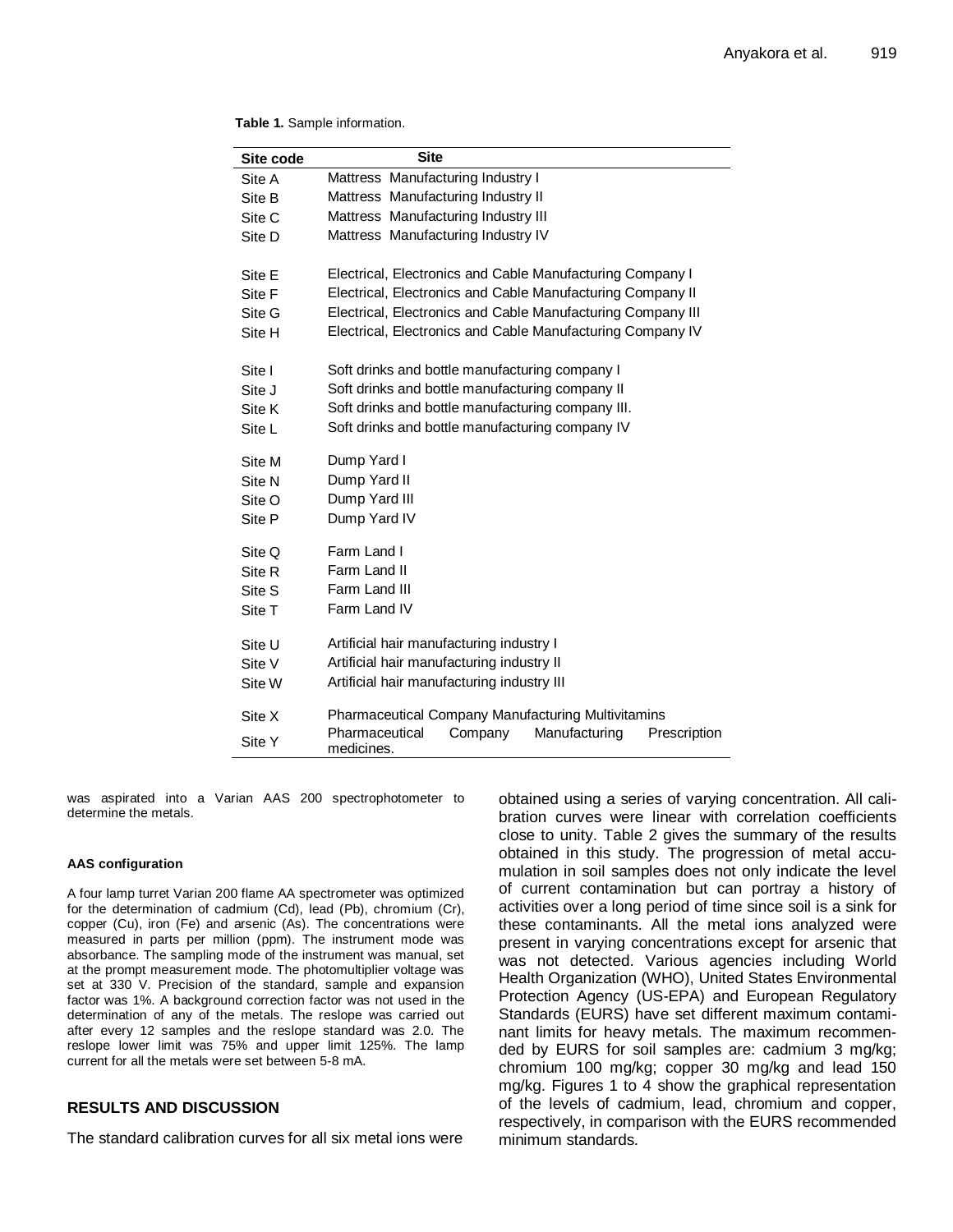#### **Table 1.** Sample information.

| Site code | <b>Site</b>                                                              |  |  |  |  |  |
|-----------|--------------------------------------------------------------------------|--|--|--|--|--|
| Site A    | Mattress Manufacturing Industry I                                        |  |  |  |  |  |
| Site B    | Mattress Manufacturing Industry II                                       |  |  |  |  |  |
| Site C    | Mattress Manufacturing Industry III                                      |  |  |  |  |  |
| Site D    | Mattress Manufacturing Industry IV                                       |  |  |  |  |  |
| Site E    | Electrical, Electronics and Cable Manufacturing Company I                |  |  |  |  |  |
| Site F    | Electrical, Electronics and Cable Manufacturing Company II               |  |  |  |  |  |
| Site G    | Electrical, Electronics and Cable Manufacturing Company III              |  |  |  |  |  |
| Site H    | Electrical, Electronics and Cable Manufacturing Company IV               |  |  |  |  |  |
| Site I    | Soft drinks and bottle manufacturing company I                           |  |  |  |  |  |
| Site J    | Soft drinks and bottle manufacturing company II                          |  |  |  |  |  |
| Site K    | Soft drinks and bottle manufacturing company III.                        |  |  |  |  |  |
| Site L    | Soft drinks and bottle manufacturing company IV                          |  |  |  |  |  |
| Site M    | Dump Yard I                                                              |  |  |  |  |  |
| Site N    | Dump Yard II                                                             |  |  |  |  |  |
| Site O    | Dump Yard III                                                            |  |  |  |  |  |
| Site P    | Dump Yard IV                                                             |  |  |  |  |  |
| Site Q    | Farm Land I                                                              |  |  |  |  |  |
| Site R    | Farm Land II                                                             |  |  |  |  |  |
| Site S    | Farm Land III                                                            |  |  |  |  |  |
| Site T    | Farm Land IV                                                             |  |  |  |  |  |
| Site U    | Artificial hair manufacturing industry I                                 |  |  |  |  |  |
| Site V    | Artificial hair manufacturing industry II                                |  |  |  |  |  |
| Site W    | Artificial hair manufacturing industry III                               |  |  |  |  |  |
| Site X    | Pharmaceutical Company Manufacturing Multivitamins                       |  |  |  |  |  |
| Site Y    | Pharmaceutical<br>Company<br>Manufacturing<br>Prescription<br>medicines. |  |  |  |  |  |

was aspirated into a Varian AAS 200 spectrophotometer to determine the metals.

#### **AAS configuration**

A four lamp turret Varian 200 flame AA spectrometer was optimized for the determination of cadmium (Cd), lead (Pb), chromium (Cr), copper (Cu), iron (Fe) and arsenic (As). The concentrations were measured in parts per million (ppm). The instrument mode was absorbance. The sampling mode of the instrument was manual, set at the prompt measurement mode. The photomultiplier voltage was set at 330 V. Precision of the standard, sample and expansion factor was 1%. A background correction factor was not used in the determination of any of the metals. The reslope was carried out after every 12 samples and the reslope standard was 2.0. The reslope lower limit was 75% and upper limit 125%. The lamp current for all the metals were set between 5-8 mA.

# **RESULTS AND DISCUSSION**

The standard calibration curves for all six metal ions were

obtained using a series of varying concentration. All calibration curves were linear with correlation coefficients close to unity. Table 2 gives the summary of the results obtained in this study. The progression of metal accumulation in soil samples does not only indicate the level of current contamination but can portray a history of activities over a long period of time since soil is a sink for these contaminants. All the metal ions analyzed were present in varying concentrations except for arsenic that was not detected. Various agencies including World Health Organization (WHO), United States Environmental Protection Agency (US-EPA) and European Regulatory Standards (EURS) have set different maximum contaminant limits for heavy metals. The maximum recommended by EURS for soil samples are: cadmium 3 mg/kg; chromium 100 mg/kg; copper 30 mg/kg and lead 150 mg/kg. Figures 1 to 4 show the graphical representation of the levels of cadmium, lead, chromium and copper, respectively, in comparison with the EURS recommended minimum standards.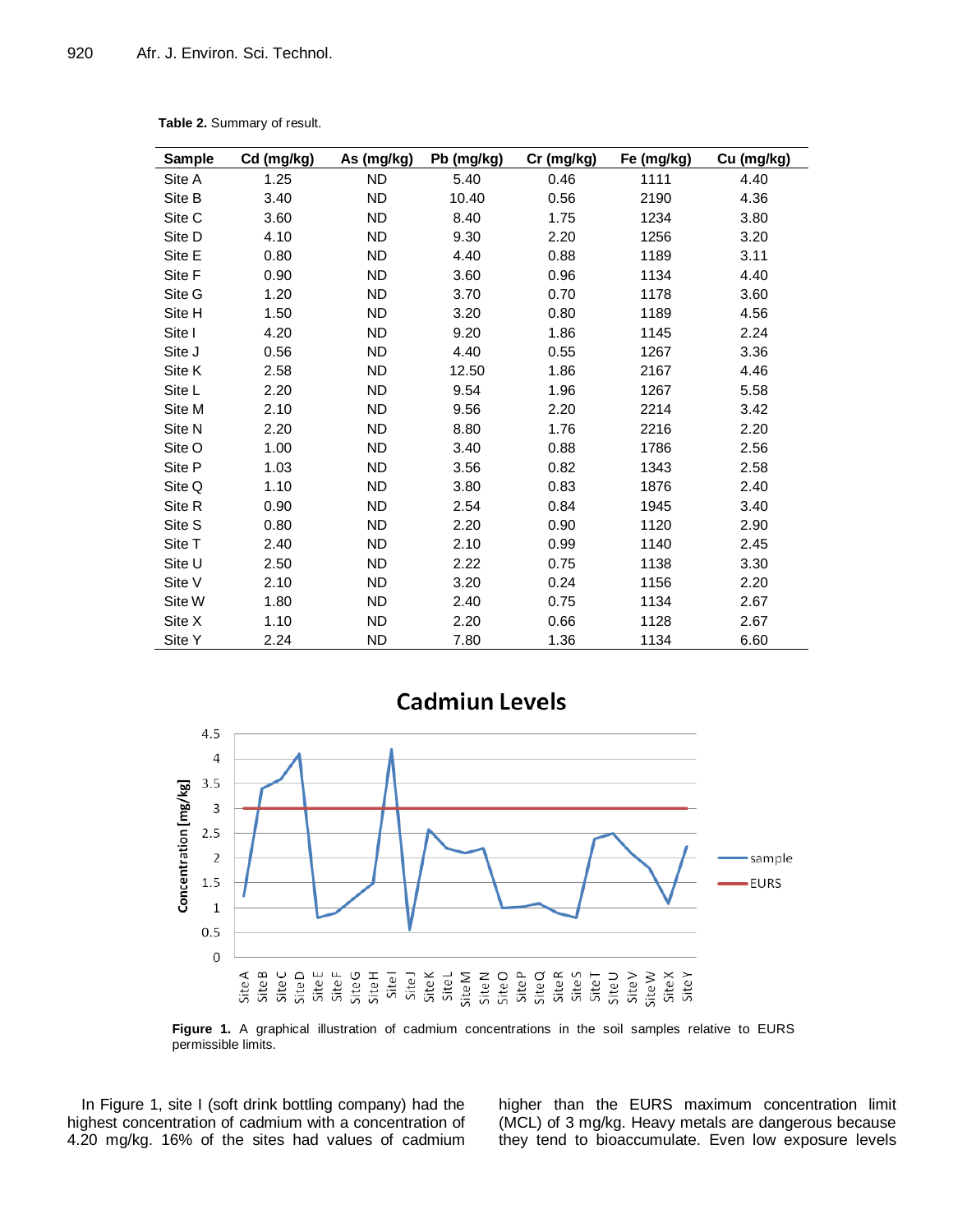| Sample | Cd (mg/kg) | As (mg/kg) | Pb (mg/kg) | Cr (mg/kg) | Fe (mg/kg) | Cu (mg/kg) |
|--------|------------|------------|------------|------------|------------|------------|
| Site A | 1.25       | <b>ND</b>  | 5.40       | 0.46       | 1111       | 4.40       |
| Site B | 3.40       | ND.        | 10.40      | 0.56       | 2190       | 4.36       |
| Site C | 3.60       | ND.        | 8.40       | 1.75       | 1234       | 3.80       |
| Site D | 4.10       | ND.        | 9.30       | 2.20       | 1256       | 3.20       |
| Site E | 0.80       | ND.        | 4.40       | 0.88       | 1189       | 3.11       |
| Site F | 0.90       | ND         | 3.60       | 0.96       | 1134       | 4.40       |
| Site G | 1.20       | ND.        | 3.70       | 0.70       | 1178       | 3.60       |
| Site H | 1.50       | ND.        | 3.20       | 0.80       | 1189       | 4.56       |
| Site I | 4.20       | ND.        | 9.20       | 1.86       | 1145       | 2.24       |
| Site J | 0.56       | ND.        | 4.40       | 0.55       | 1267       | 3.36       |
| Site K | 2.58       | <b>ND</b>  | 12.50      | 1.86       | 2167       | 4.46       |
| Site L | 2.20       | ND.        | 9.54       | 1.96       | 1267       | 5.58       |
| Site M | 2.10       | ND.        | 9.56       | 2.20       | 2214       | 3.42       |
| Site N | 2.20       | ND.        | 8.80       | 1.76       | 2216       | 2.20       |
| Site O | 1.00       | ND         | 3.40       | 0.88       | 1786       | 2.56       |
| Site P | 1.03       | ND         | 3.56       | 0.82       | 1343       | 2.58       |
| Site Q | 1.10       | ND.        | 3.80       | 0.83       | 1876       | 2.40       |
| Site R | 0.90       | ND.        | 2.54       | 0.84       | 1945       | 3.40       |
| Site S | 0.80       | ND.        | 2.20       | 0.90       | 1120       | 2.90       |
| Site T | 2.40       | ND         | 2.10       | 0.99       | 1140       | 2.45       |
| Site U | 2.50       | ND.        | 2.22       | 0.75       | 1138       | 3.30       |
| Site V | 2.10       | ND.        | 3.20       | 0.24       | 1156       | 2.20       |
| Site W | 1.80       | ND.        | 2.40       | 0.75       | 1134       | 2.67       |
| Site X | 1.10       | ND.        | 2.20       | 0.66       | 1128       | 2.67       |
| Site Y | 2.24       | <b>ND</b>  | 7.80       | 1.36       | 1134       | 6.60       |

**Table 2.** Summary of result.



**Figure 1.** A graphical illustration of cadmium concentrations in the soil samples relative to EURS permissible limits.

In Figure 1, site I (soft drink bottling company) had the highest concentration of cadmium with a concentration of 4.20 mg/kg. 16% of the sites had values of cadmium higher than the EURS maximum concentration limit (MCL) of 3 mg/kg. Heavy metals are dangerous because they tend to bioaccumulate. Even low exposure levels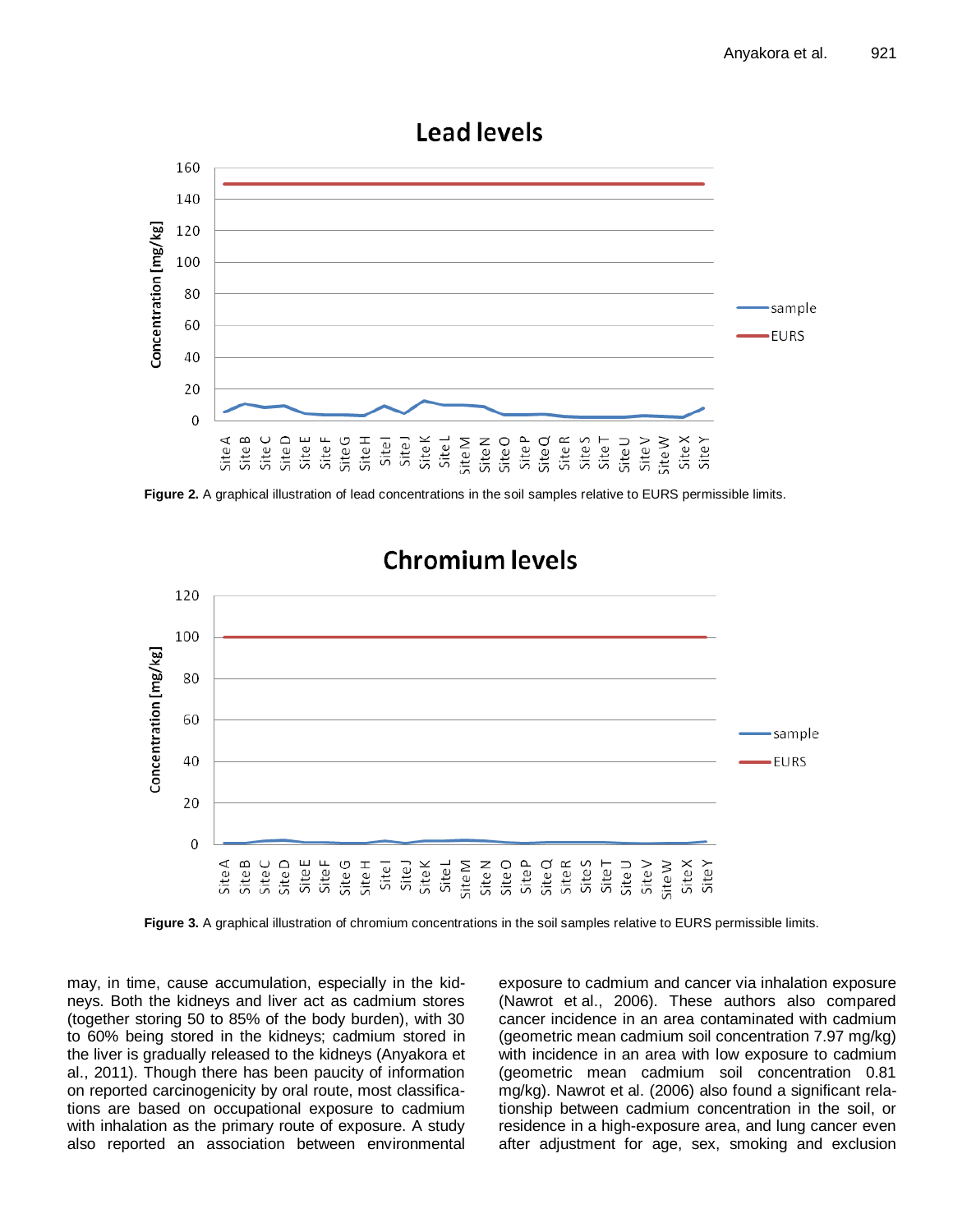

**Figure 2.** A graphical illustration of lead concentrations in the soil samples relative to EURS permissible limits.



#### **Figure 3.** A graphical illustration of chromium concentrations in the soil samples relative to EURS permissible limits.

may, in time, cause accumulation, especially in the kidneys. Both the kidneys and liver act as cadmium stores (together storing 50 to 85% of the body burden), with 30 to 60% being stored in the kidneys; cadmium stored in the liver is gradually released to the kidneys (Anyakora et al., 2011). Though there has been paucity of information on reported carcinogenicity by oral route, most classifications are based on occupational exposure to cadmium with inhalation as the primary route of exposure. A study also reported an association between environmental exposure to cadmium and cancer via inhalation exposure (Nawrot et al., 2006). These authors also compared cancer incidence in an area contaminated with cadmium (geometric mean cadmium soil concentration 7.97 mg/kg) with incidence in an area with low exposure to cadmium (geometric mean cadmium soil concentration 0.81 mg/kg). Nawrot et al. (2006) also found a significant relationship between cadmium concentration in the soil, or residence in a high-exposure area, and lung cancer even after adjustment for age, sex, smoking and exclusion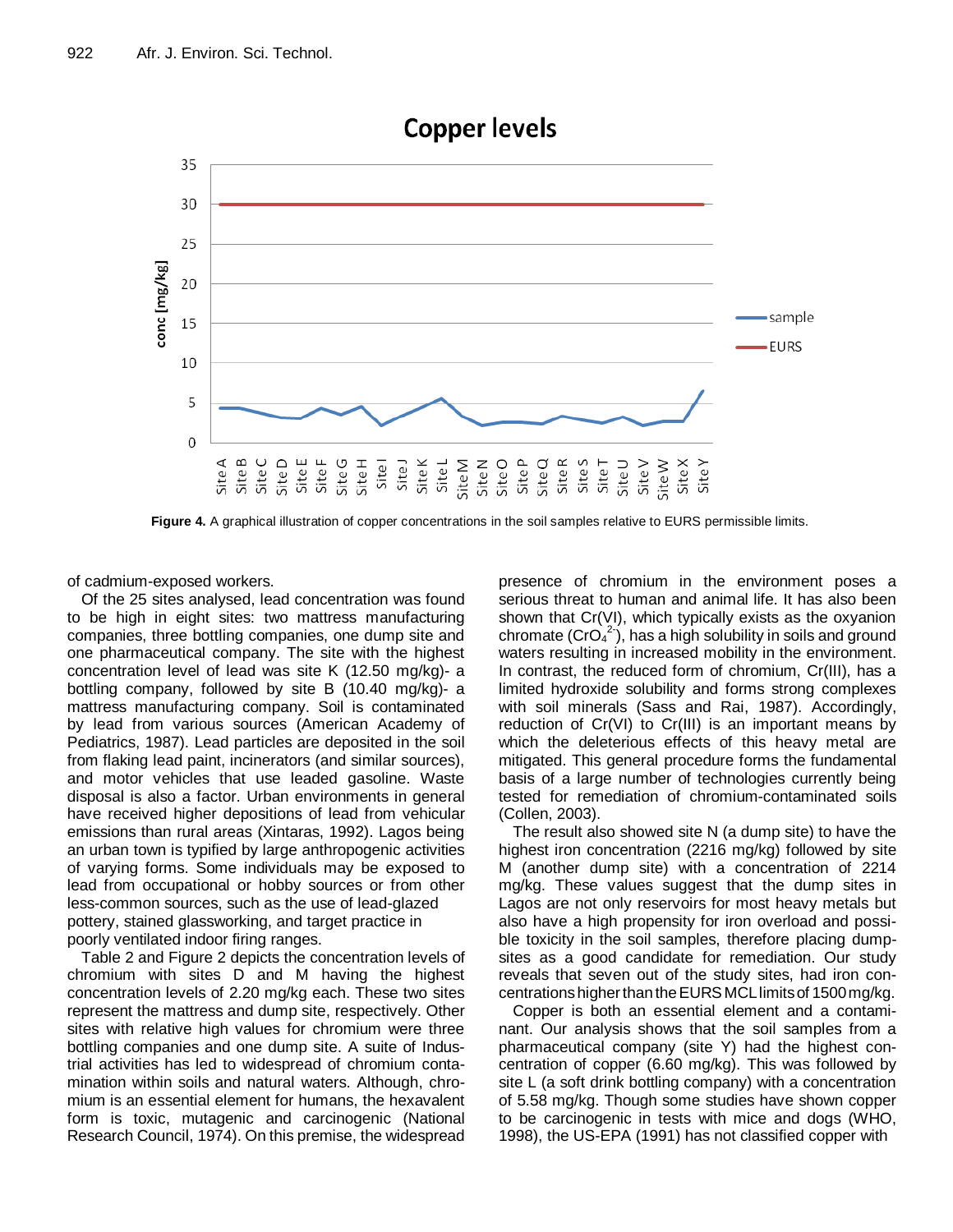

**Figure 4.** A graphical illustration of copper concentrations in the soil samples relative to EURS permissible limits.

of cadmium-exposed workers.

Of the 25 sites analysed, lead concentration was found to be high in eight sites: two mattress manufacturing companies, three bottling companies, one dump site and one pharmaceutical company. The site with the highest concentration level of lead was site K (12.50 mg/kg)- a bottling company, followed by site B (10.40 mg/kg)- a mattress manufacturing company. Soil is contaminated by lead from various sources (American Academy of Pediatrics, 1987). Lead particles are deposited in the soil from flaking lead paint, incinerators (and similar sources), and motor vehicles that use leaded gasoline. Waste disposal is also a factor. Urban environments in general have received higher depositions of lead from vehicular emissions than rural areas (Xintaras, 1992). Lagos being an urban town is typified by large anthropogenic activities of varying forms. Some individuals may be exposed to lead from occupational or hobby sources or from other less-common sources, such as the use of lead-glazed pottery, stained glassworking, and target practice in poorly ventilated indoor firing ranges.

Table 2 and Figure 2 depicts the concentration levels of chromium with sites D and M having the highest concentration levels of 2.20 mg/kg each. These two sites represent the mattress and dump site, respectively. Other sites with relative high values for chromium were three bottling companies and one dump site. A suite of Industrial activities has led to widespread of chromium contamination within soils and natural waters. Although, chromium is an essential element for humans, the hexavalent form is toxic, mutagenic and carcinogenic (National Research Council, 1974). On this premise, the widespread presence of chromium in the environment poses a serious threat to human and animal life. It has also been shown that Cr(VI), which typically exists as the oxyanion chromate  $(CrO<sub>4</sub><sup>2</sup>)$ , has a high solubility in soils and ground waters resulting in increased mobility in the environment. In contrast, the reduced form of chromium, Cr(III), has a limited hydroxide solubility and forms strong complexes with soil minerals (Sass and Rai, 1987). Accordingly, reduction of Cr(VI) to Cr(III) is an important means by which the deleterious effects of this heavy metal are mitigated. This general procedure forms the fundamental basis of a large number of technologies currently being tested for remediation of chromium-contaminated soils (Collen, 2003).

The result also showed site N (a dump site) to have the highest iron concentration (2216 mg/kg) followed by site M (another dump site) with a concentration of 2214 mg/kg. These values suggest that the dump sites in Lagos are not only reservoirs for most heavy metals but also have a high propensity for iron overload and possible toxicity in the soil samples, therefore placing dumpsites as a good candidate for remediation. Our study reveals that seven out of the study sites, had iron concentrations higher than the EURS MCL limits of 1500 mg/kg.

Copper is both an essential element and a contaminant. Our analysis shows that the soil samples from a pharmaceutical company (site Y) had the highest concentration of copper (6.60 mg/kg). This was followed by site L (a soft drink bottling company) with a concentration of 5.58 mg/kg. Though some studies have shown copper to be carcinogenic in tests with mice and dogs (WHO, 1998), the US-EPA (1991) has not classified copper with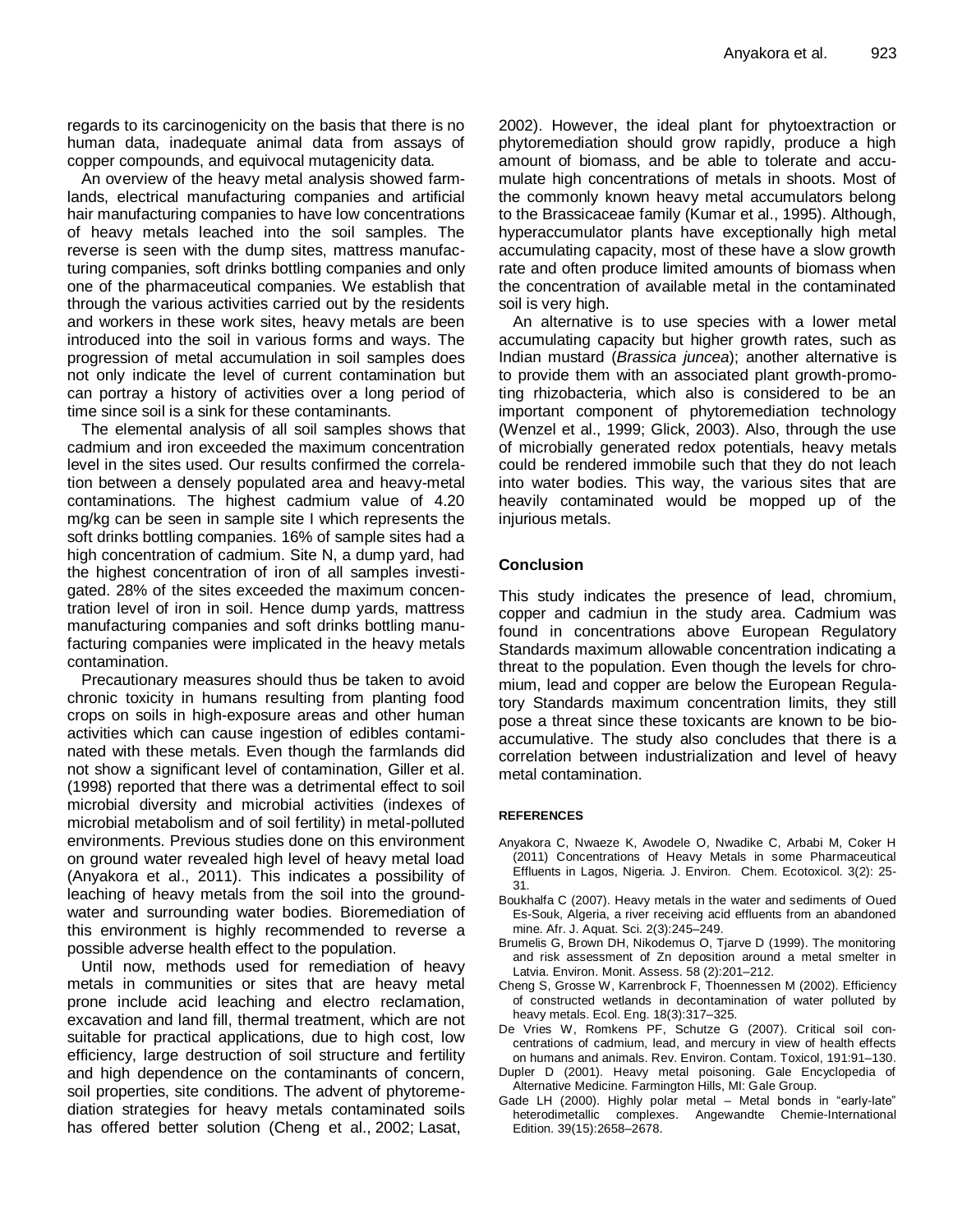regards to its carcinogenicity on the basis that there is no human data, inadequate animal data from assays of copper compounds, and equivocal mutagenicity data.

An overview of the heavy metal analysis showed farmlands, electrical manufacturing companies and artificial hair manufacturing companies to have low concentrations of heavy metals leached into the soil samples. The reverse is seen with the dump sites, mattress manufacturing companies, soft drinks bottling companies and only one of the pharmaceutical companies. We establish that through the various activities carried out by the residents and workers in these work sites, heavy metals are been introduced into the soil in various forms and ways. The progression of metal accumulation in soil samples does not only indicate the level of current contamination but can portray a history of activities over a long period of time since soil is a sink for these contaminants.

The elemental analysis of all soil samples shows that cadmium and iron exceeded the maximum concentration level in the sites used. Our results confirmed the correlation between a densely populated area and heavy-metal contaminations. The highest cadmium value of 4.20 mg/kg can be seen in sample site I which represents the soft drinks bottling companies. 16% of sample sites had a high concentration of cadmium. Site N, a dump yard, had the highest concentration of iron of all samples investigated. 28% of the sites exceeded the maximum concentration level of iron in soil. Hence dump yards, mattress manufacturing companies and soft drinks bottling manufacturing companies were implicated in the heavy metals contamination.

Precautionary measures should thus be taken to avoid chronic toxicity in humans resulting from planting food crops on soils in high-exposure areas and other human activities which can cause ingestion of edibles contaminated with these metals. Even though the farmlands did not show a significant level of contamination, Giller et al. (1998) reported that there was a detrimental effect to soil microbial diversity and microbial activities (indexes of microbial metabolism and of soil fertility) in metal-polluted environments. Previous studies done on this environment on ground water revealed high level of heavy metal load (Anyakora et al., 2011). This indicates a possibility of leaching of heavy metals from the soil into the groundwater and surrounding water bodies. Bioremediation of this environment is highly recommended to reverse a possible adverse health effect to the population.

Until now, methods used for remediation of heavy metals in communities or sites that are heavy metal prone include acid leaching and electro reclamation, excavation and land fill, thermal treatment, which are not suitable for practical applications, due to high cost, low efficiency, large destruction of soil structure and fertility and high dependence on the contaminants of concern, soil properties, site conditions. The advent of phytoremediation strategies for heavy metals contaminated soils has offered better solution (Cheng et al., 2002; Lasat,

2002). However, the ideal plant for phytoextraction or phytoremediation should grow rapidly, produce a high amount of biomass, and be able to tolerate and accumulate high concentrations of metals in shoots. Most of the commonly known heavy metal accumulators belong to the Brassicaceae family (Kumar et al., 1995). Although, hyperaccumulator plants have exceptionally high metal accumulating capacity, most of these have a slow growth rate and often produce limited amounts of biomass when the concentration of available metal in the contaminated soil is very high.

An alternative is to use species with a lower metal accumulating capacity but higher growth rates, such as Indian mustard (*Brassica juncea*); another alternative is to provide them with an associated plant growth-promoting rhizobacteria, which also is considered to be an important component of phytoremediation technology (Wenzel et al., 1999; Glick, 2003). Also, through the use of microbially generated redox potentials, heavy metals could be rendered immobile such that they do not leach into water bodies. This way, the various sites that are heavily contaminated would be mopped up of the injurious metals.

# **Conclusion**

This study indicates the presence of lead, chromium, copper and cadmiun in the study area. Cadmium was found in concentrations above European Regulatory Standards maximum allowable concentration indicating a threat to the population. Even though the levels for chromium, lead and copper are below the European Regulatory Standards maximum concentration limits, they still pose a threat since these toxicants are known to be bioaccumulative. The study also concludes that there is a correlation between industrialization and level of heavy metal contamination.

# **REFERENCES**

- Anyakora C, Nwaeze K, Awodele O, Nwadike C, Arbabi M, Coker H (2011) Concentrations of Heavy Metals in some Pharmaceutical Effluents in Lagos, Nigeria. J. Environ. Chem. Ecotoxicol. 3(2): 25- 31.
- Boukhalfa C (2007). Heavy metals in the water and sediments of Oued Es-Souk, Algeria, a river receiving acid effluents from an abandoned mine. Afr. J. Aquat. Sci. 2(3):245–249.
- Brumelis G, Brown DH, Nikodemus O, Tjarve D (1999). The monitoring and risk assessment of Zn deposition around a metal smelter in Latvia. Environ. Monit. Assess. 58 (2):201–212.
- Cheng S, Grosse W, Karrenbrock F, Thoennessen M (2002). Efficiency of constructed wetlands in decontamination of water polluted by heavy metals. Ecol. Eng. 18(3):317–325.
- De Vries W, Romkens PF, Schutze G (2007). Critical soil concentrations of cadmium, lead, and mercury in view of health effects on humans and animals. Rev. Environ. Contam. Toxicol, 191:91–130.
- Dupler D (2001). Heavy metal poisoning. Gale Encyclopedia of Alternative Medicine. Farmington Hills, MI: Gale Group.
- Gade LH (2000). Highly polar metal Metal bonds in "early-late" heterodimetallic complexes. Angewandte Chemie-International Edition. 39(15):2658–2678.